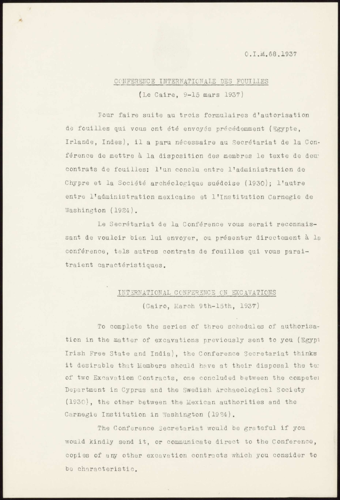### 0.I.M.68.1937

### CONFERENCE INTERNATIONALE DES FOUILIES

(Le Caire, 9-15 mars 1937)

Four faire suite au trois formuiaires d'autorisation de fouilles qui vous ont été envoyés précédemment (Egypte, Irlande, Indes), il a paru nécessaire au Secrétariat de la Conférence de mettre à la disposition des membres le texte de dew contrats de fouilles; l'un conclu entre l'administration de Chypre et la Société archéologique suédoise (1930); l'autre entre l'administration mexicaine et l'Institution Carnegie de

Washington (1924).

To complete the series of three schedules of authorisation in the matter of excavations previously sent to you (Egypi Irish Free State and India), the Conference Secretariat thinks it desirable that Members should have at their disposal the te: of two Excavation Contracts, one concluded between the compete: Department in Cyprus and the Swedish Archaeological Society

Le Secrétariat de la Conférence vous serait reconnaissant de vouloir bien lui envoyer, ou présenter directement à la conférence, tels autres contrats de fouilles qui vous paraitraient caractéristiques.

## INTERNATIONAL CONFERENCE ON EXCAVATIONS

(Cairo, March 9th-15th, 1937)

# (1930), the other between the Mexican authorities and the Carnegie Institution in Washington (1924),

The Conference Secretariat would be grateful if you would kindly send it, or communicate direct to the Conference, copies of any other excavation contracts which you consider to

be characteristic,

 $\mathcal{A}$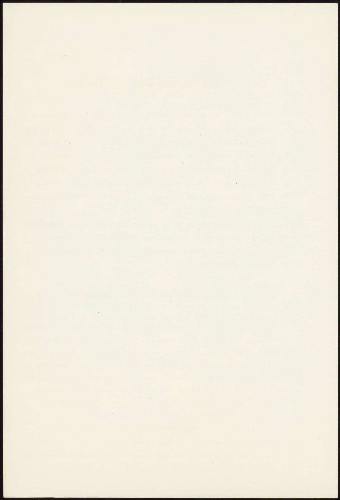

كالأفراد المتبارين والمتواطن المتواطن والمتواطن والمتواطن والمتواطن والمتواطن والمتواطن والمتواطن والمتواطن والمتواطن  $\mathbb{R}^n$  of  $\mathbb{R}^n$ 

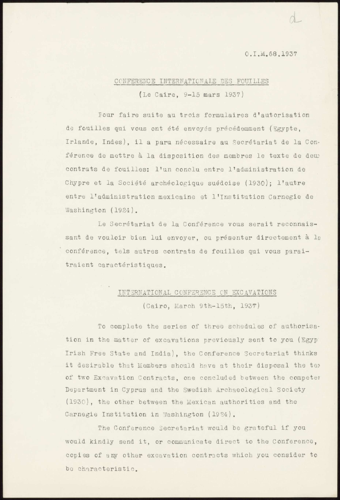### 0.I.M.68.1937

### CONFERENCE INTERNATIONALE DES FOUILLES

 The Conference Secretariat would be grateful if you would kindly send it, or communicate direct to the Conference, copies of any other excavation contracts which you consider to be characteristic.

Le Caire, 9-15 mars 1937)

Four faire suite au trois formulaires d'autorisation de fouilles qui vous ont été envoyés précédemment (Egypte, Irlande, Indes), il a paru nécessaire au Secrétariat de la Conférence de mettre à la disposition des membres le texte de dew contrats de fouilles: l'un conclu entre l'administration de Chypre et la Société archéologique suédoise (1930); l'autre entre l'administration mexicaine et l'Institution Carnegie de

Washington (1924).

Le Secrétariat de la Conférence vous serait reconnaissant de vouloir bien lui envoyer, ou présenter directement à le conférence, tels autres contrats de fouilles qui vous paraitraient caractéristiques.

#### F ON FY INTERNATIONAL CONFERENCE ON EXC

(Cairo, March 9th-15th, 1937)

To complete the series of three schedules of authorisation in the matter of excavations previously sent to you (Egyp Irish Free State and India), the Conference Secretariat thinks it desirable that Members should have at their disposal the tex of two Excavation Contracts, one concluded between the competer Department in Cyprus and the Swedish Archaeological Society

(1930), the other between the liexican authorities and the Carnegie Institution in Washington (1924).